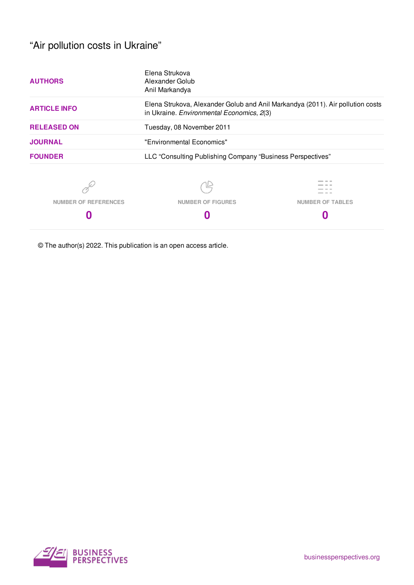# "Air pollution costs in Ukraine"

| <b>AUTHORS</b>       | Elena Strukova<br>Alexander Golub<br>Anil Markandya                                                                         |                         |  |  |  |
|----------------------|-----------------------------------------------------------------------------------------------------------------------------|-------------------------|--|--|--|
| <b>ARTICLE INFO</b>  | Elena Strukova, Alexander Golub and Anil Markandya (2011). Air pollution costs<br>in Ukraine. Environmental Economics, 2(3) |                         |  |  |  |
| <b>RELEASED ON</b>   | Tuesday, 08 November 2011                                                                                                   |                         |  |  |  |
| <b>JOURNAL</b>       | "Environmental Economics"                                                                                                   |                         |  |  |  |
| <b>FOUNDER</b>       | LLC "Consulting Publishing Company "Business Perspectives"                                                                  |                         |  |  |  |
|                      |                                                                                                                             |                         |  |  |  |
| NUMBER OF REFERENCES | <b>NUMBER OF FIGURES</b>                                                                                                    | <b>NUMBER OF TABLES</b> |  |  |  |
|                      |                                                                                                                             |                         |  |  |  |

© The author(s) 2022. This publication is an open access article.

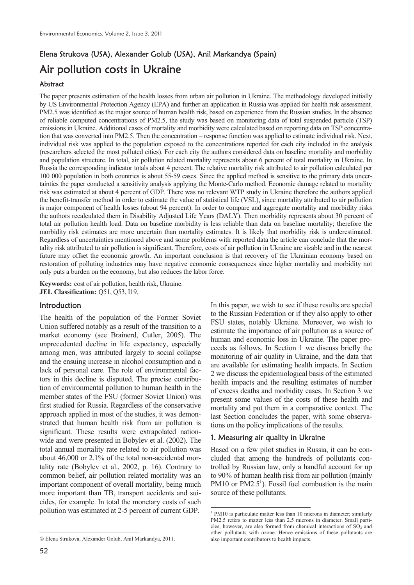# Elena Strukova (USA), Alexander Golub (USA), Anil Markandya (Spain)

# Air pollution costs in Ukraine

# Abstract

The paper presents estimation of the health losses from urban air pollution in Ukraine. The methodology developed initially by US Environmental Protection Agency (EPA) and further an application in Russia was applied for health risk assessment. PM2.5 was identified as the major source of human health risk, based on experience from the Russian studies. In the absence of reliable computed concentrations of PM2.5, the study was based on monitoring data of total suspended particle (TSP) emissions in Ukraine. Additional cases of mortality and morbidity were calculated based on reporting data on TSP concentration that was converted into PM2.5. Then the concentration – response function was applied to estimate individual risk. Next, individual risk was applied to the population exposed to the concentrations reported for each city included in the analysis (researchers selected the most polluted cities). For each city the authors considered data on baseline mortality and morbidity and population structure. In total, air pollution related mortality represents about 6 percent of total mortality in Ukraine. In Russia the corresponding indicator totals about 4 percent. The relative mortality risk attributed to air pollution calculated per 100 000 population in both countries is about 55-59 cases. Since the applied method is sensitive to the primary data uncertainties the paper conducted a sensitivity analysis applying the Monte-Carlo method. Economic damage related to mortality risk was estimated at about 4 percent of GDP. There was no relevant WTP study in Ukraine therefore the authors applied the benefit-transfer method in order to estimate the value of statistical life (VSL), since mortality attributed to air pollution is major component of health losses (about 94 percent). In order to compare and aggregate mortality and morbidity risks the authors recalculated them in Disability Adjusted Life Years (DALY). Then morbidity represents about 30 percent of total air pollution health load. Data on baseline morbidity is less reliable than data on baseline mortality; therefore the morbidity risk estimates are more uncertain than mortality estimates. It is likely that morbidity risk is underestimated. Regardless of uncertainties mentioned above and some problems with reported data the article can conclude that the mortality risk attributed to air pollution is significant. Therefore, costs of air pollution in Ukraine are sizable and in the nearest future may offset the economic growth. An important conclusion is that recovery of the Ukrainian economy based on restoration of polluting industries may have negative economic consequences since higher mortality and morbidity not only puts a burden on the economy, but also reduces the labor force.

**Keywords:** cost of air pollution, health risk, Ukraine. **JEL Classification:** Q51, Q53, I19.

# **Introduction**

The health of the population of the Former Soviet Union suffered notably as a result of the transition to a market economy (see Brainerd, Cutler, 2005). The unprecedented decline in life expectancy, especially among men, was attributed largely to social collapse and the ensuing increase in alcohol consumption and a lack of personal care. The role of environmental factors in this decline is disputed. The precise contribution of environmental pollution to human health in the member states of the FSU (former Soviet Union) was first studied for Russia. Regardless of the conservative approach applied in most of the studies, it was demonstrated that human health risk from air pollution is significant. These results were extrapolated nationwide and were presented in Bobylev et al. (2002). The total annual mortality rate related to air pollution was about 46,000 or 2.1% of the total non-accidental mortality rate (Bobylev et al., 2002, p. 16). Contrary to common belief, air pollution related mortality was an important component of overall mortality, being much more important than TB, transport accidents and suicides, for example. In total the monetary costs of such pollution was estimated at 2-5 percent of current GDP.

In this paper, we wish to see if these results are special to the Russian Federation or if they also apply to other FSU states, notably Ukraine. Moreover, we wish to estimate the importance of air pollution as a source of human and economic loss in Ukraine. The paper proceeds as follows. In Section 1 we discuss briefly the monitoring of air quality in Ukraine, and the data that are available for estimating health impacts. In Section 2 we discuss the epidemiological basis of the estimated health impacts and the resulting estimates of number of excess deaths and morbidity cases. In Section 3 we present some values of the costs of these health and mortality and put them in a comparative context. The last Section concludes the paper, with some observations on the policy implications of the results.

#### 1. Measuring air quality in Ukraine

Based on a few pilot studies in Russia, it can be concluded that among the hundreds of pollutants controlled by Russian law, only a handful account for up to 90% of human health risk from air pollution (mainly PM10 or  $PM2.5<sup>1</sup>$ ). Fossil fuel combustion is the main source of these pollutants.

 $\overline{a}$ 

<sup>¤</sup> Elena Strukova, Alexander Golub, Anil Markandya, 2011.

 1 PM10 is particulate matter less than 10 microns in diameter; similarly PM2.5 refers to matter less than 2.5 microns in diameter. Small particles, however, are also formed from chemical interactions of  $SO<sub>2</sub>$  and other pollutants with ozone. Hence emissions of these pollutants are also important contributors to health impacts.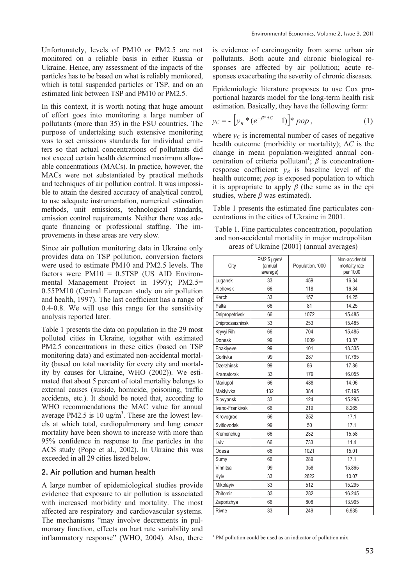Unfortunately, levels of PM10 or PM2.5 are not monitored on a reliable basis in either Russia or Ukraine. Hence, any assessment of the impacts of the particles has to be based on what is reliably monitored, which is total suspended particles or TSP, and on an estimated link between TSP and PM10 or PM2.5.

In this context, it is worth noting that huge amount of effort goes into monitoring a large number of pollutants (more than 35) in the FSU countries. The purpose of undertaking such extensive monitoring was to set emissions standards for individual emitters so that actual concentrations of pollutants did not exceed certain health determined maximum allowable concentrations (MACs). In practice, however, the MACs were not substantiated by practical methods and techniques of air pollution control. It was impossible to attain the desired accuracy of analytical control, to use adequate instrumentation, numerical estimation methods, unit emissions, technological standards, emission control requirements. Neither there was adequate financing or professional staffing. The improvements in these areas are very slow.

Since air pollution monitoring data in Ukraine only provides data on TSP pollution, conversion factors were used to estimate PM10 and PM2.5 levels. The factors were  $PM10 = 0.5TSP$  (US AID Environmental Management Project in 1997); PM2.5= 0.55PM10 (Central European study on air pollution and health, 1997). The last coefficient has a range of 0.4-0.8. We will use this range for the sensitivity analysis reported later.

Table 1 presents the data on population in the 29 most polluted cities in Ukraine, together with estimated PM2.5 concentrations in these cities (based on TSP monitoring data) and estimated non-accidental mortality (based on total mortality for every city and mortality by causes for Ukraine, WHO (2002)). We estimated that about 5 percent of total mortality belongs to external causes (suiside, homicide, poisoning, traffic accidents, etc.). It should be noted that, according to WHO recommendations the MAC value for annual average PM2.5 is 10  $\text{ug/m}^3$ . These are the lowest levels at which total, cardiopulmonary and lung cancer mortality have been shown to increase with more than 95% confidence in response to fine particles in the ACS study (Pope et al., 2002). In Ukraine this was exceeded in all 29 cities listed below.

#### 2. Air pollution and human health

A large number of epidemiological studies provide evidence that exposure to air pollution is associated with increased morbidity and mortality. The most affected are respiratory and cardiovascular systems. The mechanisms "may involve decrements in pulmonary function, effects on hart rate variability and inflammatory response" (WHO, 2004). Also, there is evidence of carcinogenity from some urban air pollutants. Both acute and chronic biological responses are affected by air pollution; acute responses exacerbating the severity of chronic diseases.

Epidemiologic literature proposes to use Cox proportional hazards model for the long-term health risk estimation. Basically, they have the following form:

$$
y_C = -\left[y_B * (e^{-\beta^* \Delta C} - 1)\right] * pop,
$$
 (1)

where  $y_C$  is incremental number of cases of negative health outcome (morbidity or mortality);  $\Delta C$  is the change in mean population-weighted annual concentration of criteria pollutant<sup>1</sup>;  $\beta$  is concentrationresponse coefficient;  $v_B$  is baseline level of the health outcome; *pop* is exposed population to which it is appropriate to apply  $\beta$  (the same as in the epi studies, where  $\beta$  was estimated).

Table 1 presents the estimated fine particulates concentrations in the cities of Ukraine in 2001.

| Table 1. Fine particulates concentration, population |
|------------------------------------------------------|
| and non-accidental mortality in major metropolitan   |
| areas of Ukraine (2001) (annual averages)            |

| City              | PM2.5 $\mu$ g/m <sup>3</sup><br>(annual<br>average) | Population, '000 | Non-accidental<br>mortality rate<br>per 1000 |
|-------------------|-----------------------------------------------------|------------------|----------------------------------------------|
| Lugansk           | 33                                                  | 459              | 16.34                                        |
| Alchevsk          | 66                                                  | 118              | 16.34                                        |
| Kerch             | 33                                                  | 157              | 14.25                                        |
| Yalta             | 66                                                  | 81               | 14.25                                        |
| Dnipropetrivsk    | 66                                                  | 1072             | 15.485                                       |
| Dniprodzerzhinsk  | 33                                                  | 253              | 15.485                                       |
| Kryvyi Rih        | 66                                                  | 704              | 15.485                                       |
| Donesk            | 99                                                  | 1009             | 13.87                                        |
| Enakiyeve         | 99                                                  | 101              | 18.335                                       |
| Gorlivka          | 99                                                  | 287              | 17.765                                       |
| <b>Dzerzhinsk</b> | 99                                                  | 86               | 17.86                                        |
| Kramatorsk        | 33                                                  | 179              | 16.055                                       |
| Mariupol          | 66                                                  | 488              | 14.06                                        |
| Makiyivka         | 132                                                 | 384              | 17.195                                       |
| Slovyansk         | 33                                                  | 124              | 15.295                                       |
| Ivano-Frankivsk   | 66                                                  | 219              | 8.265                                        |
| Kirovograd        | 66                                                  | 252              | 17.1                                         |
| Svitlovodsk       | 99                                                  | 50               | 17.1                                         |
| Kremenchug        | 66                                                  | 232              | 15.58                                        |
| Lviv              | 66                                                  | 733              | 11.4                                         |
| Odesa             | 66                                                  | 1021             | 15.01                                        |
| Sumy              | 66                                                  | 289              | 17.1                                         |
| Vinnitsa          | 99                                                  | 358              | 15.865                                       |
| Kyiv              | 33                                                  | 2622             | 10.07                                        |
| Mikolayiv         | 33                                                  | 512              | 15.295                                       |
| Zhitomir          | 33                                                  | 282              | 16.245                                       |
| Zaporizhya        | 66                                                  | 808              | 13.965                                       |
| Rivne             | 33                                                  | 249              | 6.935                                        |

 $\overline{a}$ <sup>1</sup> PM pollution could be used as an indicator of pollution mix.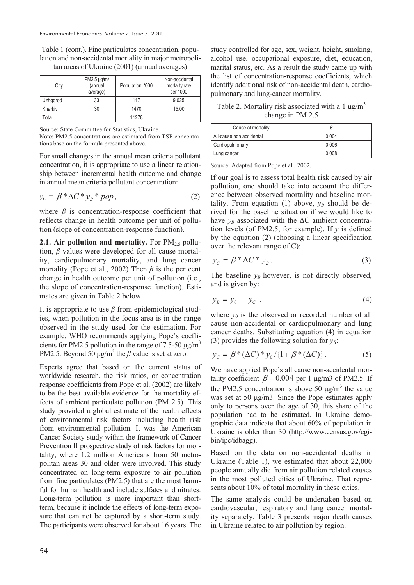Table 1 (cont.). Fine particulates concentration, population and non-accidental mortality in major metropolitan areas of Ukraine (2001) (annual averages)

| City     | PM2.5 $\mu$ g/m <sup>3</sup><br>(annual<br>average) | Population, '000 | Non-accidental<br>mortality rate<br>per 1000 |
|----------|-----------------------------------------------------|------------------|----------------------------------------------|
| Uzhqorod | 33                                                  | 117              | 9.025                                        |
| Kharkiv  | 30                                                  | 1470             | 15.00                                        |
| Total    |                                                     | 11278            |                                              |

Source: State Committee for Statistics, Ukraine.

Note: PM2.5 concentrations are estimated from TSP concentrations base on the formula presented above.

For small changes in the annual mean criteria pollutant concentration, it is appropriate to use a linear relationship between incremental health outcome and change in annual mean criteria pollutant concentration:

$$
y_C = \beta^* \Delta C^* y_B^* \, pop,\tag{2}
$$

where  $\beta$  is concentration-response coefficient that reflects change in health outcome per unit of pollution (slope of concentration-response function).

**2.1. Air pollution and mortality.** For  $PM_{2.5}$  pollution,  $\beta$  values were developed for all cause mortality, cardiopulmonary mortality, and lung cancer mortality (Pope et al., 2002) Then  $\beta$  is the per cent change in health outcome per unit of pollution (i.e., the slope of concentration-response function). Estimates are given in Table 2 below.

It is appropriate to use  $\beta$  from epidemiological studies, when pollution in the focus area is in the range observed in the study used for the estimation. For example, WHO recommends applying Pope's coefficients for PM2.5 pollution in the range of 7.5-50  $\mu$ g/m<sup>3</sup> PM2.5. Beyond 50  $\mu$ g/m<sup>3</sup> the  $\beta$  value is set at zero.

Experts agree that based on the current status of worldwide research, the risk ratios, or concentration response coefficients from Pope et al. (2002) are likely to be the best available evidence for the mortality effects of ambient particulate pollution (PM 2.5). This study provided a global estimate of the health effects of environmental risk factors including health risk from environmental pollution. It was the American Cancer Society study within the framework of Cancer Prevention II prospective study of risk factors for mortality, where 1.2 million Americans from 50 metropolitan areas 30 and older were involved. This study concentrated on long-term exposure to air pollution from fine particulates (PM2.5) that are the most harmful for human health and include sulfates and nitrates. Long-term pollution is more important than shortterm, because it include the effects of long-term exposure that can not be captured by a short-term study. The participants were observed for about 16 years. The

study controlled for age, sex, weight, height, smoking, alcohol use, occupational exposure, diet, education, marital status, etc. As a result the study came up with the list of concentration-response coefficients, which identify additional risk of non-accidental death, cardiopulmonary and lung-cancer mortality.

Table 2. Mortality risk associated with a 1 ug/m<sup>3</sup> change in PM 2.5

| Cause of mortality       |       |
|--------------------------|-------|
| All-cause non accidental | 0.004 |
| Cardiopulmonary          | 0.006 |
| Lung cancer              | 0.008 |

Source: Adapted from Pope et al., 2002.

If our goal is to assess total health risk caused by air pollution, one should take into account the difference between observed mortality and baseline mortality. From equation (1) above,  $y_B$  should be derived for the baseline situation if we would like to have  $y_B$  associated with the  $\Delta C$  ambient concentration levels (of PM2.5, for example). If *y* is defined by the equation (2) (choosing a linear specification over the relevant range of C):

$$
y_C = \beta^* \Delta C^* y_B. \tag{3}
$$

The baseline  $y_B$  however, is not directly observed, and is given by:

$$
y_B = y_0 - y_C \tag{4}
$$

where  $y_0$  is the observed or recorded number of all cause non-accidental or cardiopulmonary and lung cancer deaths. Substituting equation (4) in equation (3) provides the following solution for  $v_B$ :

$$
y_C = \beta^* (\Delta C)^* y_0 / \{1 + \beta^* (\Delta C) \}.
$$
 (5)

We have applied Pope's all cause non-accidental mortality coefficient  $\beta = 0.004$  per 1 µg/m3 of PM2.5. If the PM2.5 concentration is above 50  $\mu$ g/m<sup>3</sup> the value was set at 50  $\mu$ g/m3. Since the Pope estimates apply only to persons over the age of 30, this share of the population had to be estimated. In Ukraine demographic data indicate that about 60% of population in Ukraine is older than 30 (http://www.census.gov/cgibin/ipc/idbagg).

Based on the data on non-accidental deaths in Ukraine (Table 1), we estimated that about 22,000 people annually die from air pollution related causes in the most polluted cities of Ukraine. That represents about 10% of total mortality in these cities.

The same analysis could be undertaken based on cardiovascular, respiratory and lung cancer mortality separately. Table 3 presents major death causes in Ukraine related to air pollution by region.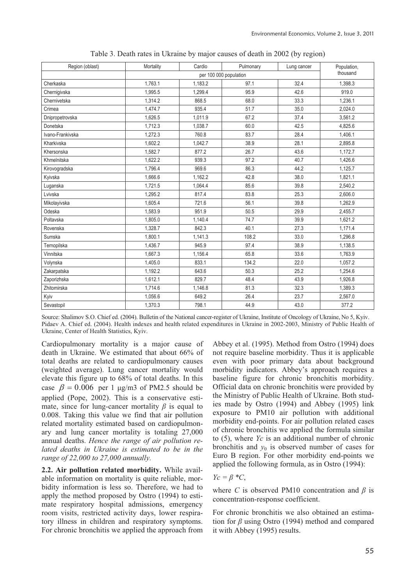| Region (oblast)  | Mortality | Cardio   | Pulmonary | Lung cancer | Population, |
|------------------|-----------|----------|-----------|-------------|-------------|
|                  |           | thousand |           |             |             |
| Cherkaska        | 1.763.1   | 1,183.2  | 97.1      | 32.4        | 1,398.3     |
| Chernigivska     | 1,995.5   | 1,299.4  | 95.9      | 42.6        | 919.0       |
| Chernivetska     | 1.314.2   | 868.5    | 68.0      | 33.3        | 1.236.1     |
| Crimea           | 1,474.7   | 935.4    | 51.7      | 35.0        | 2,024.0     |
| Dnipropetrovska  | 1,626.5   | 1.011.9  | 67.2      | 37.4        | 3,561.2     |
| Donetska         | 1,712.3   | 1.038.7  | 60.0      | 42.5        | 4.825.6     |
| Ivano-Frankivska | 1,272.3   | 760.8    | 83.7      | 28.4        | 1,406.1     |
| Kharkivska       | 1,602.2   | 1,042.7  | 38.9      | 28.1        | 2,895.8     |
| Khersonska       | 1,582.7   | 877.2    | 26.7      | 43.6        | 1,172.7     |
| Khmelnitska      | 1,622.2   | 939.3    | 97.2      | 40.7        | 1,426.6     |
| Kirovogradska    | 1.796.4   | 969.6    | 86.3      | 44.2        | 1,125.7     |
| Kyivska          | 1.666.6   | 1.162.2  | 42.8      | 38.0        | 1,821.1     |
| Luganska         | 1,721.5   | 1,064.4  | 85.6      | 39.8        | 2,540.2     |
| Lvivska          | 1,295.2   | 817.4    | 83.8      | 25.3        | 2,606.0     |
| Mikolayivska     | 1,605.4   | 721.6    | 56.1      | 39.8        | 1,262.9     |
| Odeska           | 1,583.9   | 951.9    | 50.5      | 29.9        | 2,455.7     |
| Poltavska        | 1,805.0   | 1,140.4  | 74.7      | 39.9        | 1,621.2     |
| Rovenska         | 1.328.7   | 842.3    | 40.1      | 27.3        | 1,171.4     |
| Sumska           | 1,800.1   | 1.141.3  | 108.2     | 33.0        | 1.296.8     |
| Ternopilska      | 1,436.7   | 945.9    | 97.4      | 38.9        | 1,138.5     |
| Vinnitska        | 1.667.3   | 1.156.4  | 65.8      | 33.6        | 1,763.9     |
| Volynska         | 1,405.0   | 833.1    | 134.2     | 22.0        | 1,057.2     |
| Zakarpatska      | 1,192.2   | 643.6    | 50.3      | 25.2        | 1,254.6     |
| Zaporizhska      | 1,612.1   | 829.7    | 48.4      | 43.9        | 1,926.8     |
| Zhitomirska      | 1,714.6   | 1,146.8  | 81.3      | 32.3        | 1,389.3     |
| Kyiv             | 1,056.6   | 649.2    | 26.4      | 23.7        | 2,567.0     |
| Sevastopil       | 1,370.3   | 798.1    | 44.9      | 43.0        | 377.2       |

Table 3. Death rates in Ukraine by major causes of death in 2002 (by region)

Source: Shalimov S.O. Chief ed. (2004). Bulletin of the National cancer-register of Ukraine, Institute of Oncology of Ukraine, No 5, Kyiv. Pidaev A. Chief ed. (2004). Health indexes and health related expenditures in Ukraine in 2002-2003, Ministry of Public Health of Ukraine, Center of Health Statistics, Kyiv.

Cardiopulmonary mortality is a major cause of death in Ukraine. We estimated that about 66% of total deaths are related to cardiopulmonary causes (weighted average). Lung cancer mortality would elevate this figure up to 68% of total deaths. In this case  $\beta = 0.006$  per 1 µg/m3 of PM2.5 should be applied (Pope, 2002). This is a conservative estimate, since for lung-cancer mortality  $\beta$  is equal to 0.008. Taking this value we find that air pollution related mortality estimated based on cardiopulmonary and lung cancer mortality is totaling 27,000 annual deaths. *Hence the range of air pollution related deaths in Ukraine is estimated to be in the range of 22,000 to 27,000 annually.*

**2.2. Air pollution related morbidity.** While available information on mortality is quite reliable, morbidity information is less so. Therefore, we had to apply the method proposed by Ostro (1994) to estimate respiratory hospital admissions, emergency room visits, restricted activity days, lower respiratory illness in children and respiratory symptoms. For chronic bronchitis we applied the approach from

Abbey et al. (1995). Method from Ostro (1994) does not require baseline morbidity. Thus it is applicable even with poor primary data about background morbidity indicators. Abbey's approach requires a baseline figure for chronic bronchitis morbidity. Official data on chronic bronchitis were provided by the Ministry of Public Health of Ukraine. Both studies made by Ostro (1994) and Abbey (1995) link exposure to PM10 air pollution with additional morbidity end-points. For air pollution related cases of chronic bronchitis we applied the formula similar to (5), where *Yc* is an additional number of chronic bronchitis and  $y_0$  is observed number of cases for Euro B region. For other morbidity end-points we applied the following formula, as in Ostro (1994):

$$
Y_C = \beta * C,
$$

where *C* is observed PM10 concentration and  $\beta$  is concentration-response coefficient.

For chronic bronchitis we also obtained an estimation for  $\beta$  using Ostro (1994) method and compared it with Abbey (1995) results.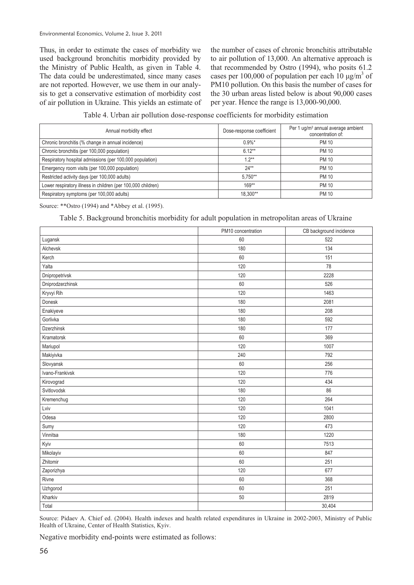Thus, in order to estimate the cases of morbidity we used background bronchitis morbidity provided by the Ministry of Public Health, as given in Table 4. The data could be underestimated, since many cases are not reported. However, we use them in our analysis to get a conservative estimation of morbidity cost of air pollution in Ukraine. This yields an estimate of the number of cases of chronic bronchitis attributable to air pollution of 13,000. An alternative approach is that recommended by Ostro (1994), who posits 61.2 cases per 100,000 of population per each  $10 \mu g/m^3$  of PM10 pollution. On this basis the number of cases for the 30 urban areas listed below is about 90,000 cases per year. Hence the range is 13,000-90,000.

Table 4. Urban air pollution dose-response coefficients for morbidity estimation

| Annual morbidity effect                                      | Dose-response coefficient | Per 1 ug/m <sup>3</sup> annual average ambient<br>concentration of: |
|--------------------------------------------------------------|---------------------------|---------------------------------------------------------------------|
| Chronic bronchitis (% change in annual incidence)            | $0.9\%$ *                 | <b>PM 10</b>                                                        |
| Chronic bronchitis (per 100,000 population)                  | $6.12**$                  | <b>PM 10</b>                                                        |
| Respiratory hospital admissions (per 100,000 population)     | $1.2**$                   | <b>PM 10</b>                                                        |
| Emergency room visits (per 100,000 population)               | $24**$                    | <b>PM 10</b>                                                        |
| Restricted activity days (per 100,000 adults)                | $5.750**$                 | <b>PM 10</b>                                                        |
| Lower respiratory illness in children (per 100,000 children) | $169**$                   | <b>PM 10</b>                                                        |
| Respiratory symptoms (per 100,000 adults)                    | 18.300**                  | <b>PM 10</b>                                                        |

Source: \*\*Ostro (1994) and \*Abbey et al. (1995).

Table 5. Background bronchitis morbidity for adult population in metropolitan areas of Ukraine

|                  | PM10 concentration | CB background incidence |
|------------------|--------------------|-------------------------|
| Lugansk          | 60                 | 522                     |
| Alchevsk         | 180                | 134                     |
| Kerch            | 60                 | 151                     |
| Yalta            | 120                | 78                      |
| Dnipropetrivsk   | 120                | 2228                    |
| Dniprodzerzhinsk | 60                 | 526                     |
| Kryvyi Rih       | 120                | 1463                    |
| Donesk           | 180                | 2081                    |
| Enakiyeve        | 180                | 208                     |
| Gorlivka         | 180                | 592                     |
| Dzerzhinsk       | 180                | 177                     |
| Kramatorsk       | 60                 | 369                     |
| Mariupol         | 120                | 1007                    |
| Makiyivka        | 240                | 792                     |
| Slovyansk        | 60                 | 256                     |
| Ivano-Frankivsk  | 120                | 776                     |
| Kirovograd       | 120                | 434                     |
| Svitlovodsk      | 180                | 86                      |
| Kremenchug       | 120                | 264                     |
| Lviv             | 120                | 1041                    |
| Odesa            | 120                | 2800                    |
| Sumy             | 120                | 473                     |
| Vinnitsa         | 180                | 1220                    |
| Kyiv             | 60                 | 7513                    |
| Mikolayiv        | 60                 | 847                     |
| Zhitomir         | 60                 | 251                     |
| Zaporizhya       | 120                | 677                     |
| Rivne            | 60                 | 368                     |
| Uzhgorod         | 60                 | 251                     |
| Kharkiv          | 50                 | 2819                    |
| Total            |                    | 30,404                  |

Source: Pidaev A. Chief ed. (2004). Health indexes and health related expenditures in Ukraine in 2002-2003, Ministry of Public Health of Ukraine, Center of Health Statistics, Kyiv.

Negative morbidity end-points were estimated as follows: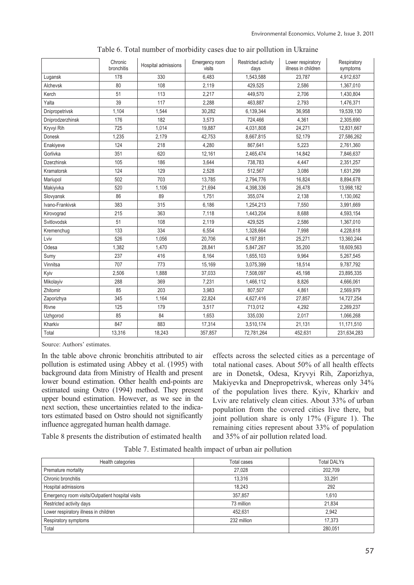|                   | Chronic<br>bronchitis | Hospital admissions | Emergency room<br>visits | Restricted activity<br>days | Lower respiratory<br>illness in children | Respiratory<br>symptoms |
|-------------------|-----------------------|---------------------|--------------------------|-----------------------------|------------------------------------------|-------------------------|
| Lugansk           | 178                   | 330                 | 6.483                    | 1,543,588                   | 23.787                                   | 4,912,637               |
| Alchevsk          | 80                    | 108                 | 2,119                    | 429.525                     | 2,586                                    | 1,367,010               |
| Kerch             | 51                    | 113                 | 2,217                    | 449,570                     | 2,706                                    | 1,430,804               |
| Yalta             | 39                    | 117                 | 2,288                    | 463,887                     | 2,793                                    | 1,476,371               |
| Dnipropetrivsk    | 1,104                 | 1,544               | 30,282                   | 6,139,344                   | 36,958                                   | 19,539,130              |
| Dniprodzerzhinsk  | 176                   | 182                 | 3.573                    | 724,466                     | 4,361                                    | 2,305,690               |
| Kryvyi Rih        | 725                   | 1,014               | 19,887                   | 4,031,808                   | 24,271                                   | 12,831,667              |
| Donesk            | 1,235                 | 2,179               | 42,753                   | 8,667,815                   | 52,179                                   | 27,586,262              |
| Enakiyeve         | 124                   | 218                 | 4,280                    | 867,641                     | 5,223                                    | 2,761,360               |
| Gorlivka          | 351                   | 620                 | 12,161                   | 2,465,474                   | 14,842                                   | 7,846,637               |
| <b>Dzerzhinsk</b> | 105                   | 186                 | 3.644                    | 738,783                     | 4,447                                    | 2,351,257               |
| Kramatorsk        | 124                   | 129                 | 2,528                    | 512,567                     | 3,086                                    | 1,631,299               |
| Mariupol          | 502                   | 703                 | 13,785                   | 2,794,776                   | 16,824                                   | 8,894,678               |
| Makiyivka         | 520                   | 1,106               | 21,694                   | 4,398,336                   | 26,478                                   | 13,998,182              |
| Slovyansk         | 86                    | 89                  | 1,751                    | 355,074                     | 2,138                                    | 1,130,062               |
| Ivano-Frankivsk   | 383                   | 315                 | 6.186                    | 1,254,213                   | 7.550                                    | 3,991,669               |
| Kirovograd        | 215                   | 363                 | 7.118                    | 1,443,204                   | 8.688                                    | 4,593,154               |
| Svitlovodsk       | 51                    | 108                 | 2,119                    | 429,525                     | 2,586                                    | 1,367,010               |
| Kremenchug        | 133                   | 334                 | 6,554                    | 1,328,664                   | 7,998                                    | 4,228,618               |
| Lviv              | 526                   | 1,056               | 20,706                   | 4,197,891                   | 25,271                                   | 13,360,244              |
| Odesa             | 1.382                 | 1.470               | 28,841                   | 5,847,267                   | 35.200                                   | 18,609,563              |
| Sumy              | 237                   | 416                 | 8.164                    | 1,655,103                   | 9,964                                    | 5,267,545               |
| Vinnitsa          | 707                   | 773                 | 15,169                   | 3,075,399                   | 18,514                                   | 9,787,792               |
| Kyiv              | 2,506                 | 1,888               | 37,033                   | 7,508,097                   | 45,198                                   | 23,895,335              |
| Mikolayiv         | 288                   | 369                 | 7,231                    | 1,466,112                   | 8.826                                    | 4,666,061               |
| Zhitomir          | 85                    | 203                 | 3.983                    | 807.507                     | 4,861                                    | 2,569,979               |
| Zaporizhya        | 345                   | 1.164               | 22.824                   | 4,627,416                   | 27,857                                   | 14,727,254              |
| Rivne             | 125                   | 179                 | 3,517                    | 713.012                     | 4,292                                    | 2,269,237               |
| Uzhgorod          | 85                    | 84                  | 1,653                    | 335,030                     | 2,017                                    | 1,066,268               |
| Kharkiv           | 847                   | 883                 | 17,314                   | 3,510,174                   | 21,131                                   | 11,171,510              |
| Total             | 13.316                | 18.243              | 357.857                  | 72.781.264                  | 452.631                                  | 231.634.283             |

Table 6. Total number of morbidity cases due to air pollution in Ukraine

Source: Authors' estimates.

In the table above chronic bronchitis attributed to air pollution is estimated using Abbey et al. (1995) with background data from Ministry of Health and present lower bound estimation. Other health end-points are estimated using Ostro (1994) method. They present upper bound estimation. However, as we see in the next section, these uncertainties related to the indicators estimated based on Ostro should not significantly influence aggregated human health damage.

effects across the selected cities as a percentage of total national cases. About 50% of all health effects are in Donetsk, Odesa, Kryvyi Rih, Zaporizhya, Makiyevka and Dnepropetrivsk, whereas only 34% of the population lives there. Kyiv, Kharkiv and Lviv are relatively clean cities. About 33% of urban population from the covered cities live there, but joint pollution share is only 17% (Figure 1). The remaining cities represent about 33% of population and 35% of air pollution related load.

Table 8 presents the distribution of estimated health

| Health categories                                | Total cases | <b>Total DALYs</b> |
|--------------------------------------------------|-------------|--------------------|
| Premature mortality                              | 27,028      | 202,709            |
| Chronic bronchitis                               | 13.316      | 33.291             |
| Hospital admissions                              | 18.243      | 292                |
| Emergency room visits/Outpatient hospital visits | 357.857     | 1.610              |
| Restricted activity days                         | 73 million  | 21.834             |
| Lower respiratory illness in children            | 452.631     | 2.942              |
| Respiratory symptoms                             | 232 million | 17.373             |
| Total                                            |             | 280.051            |

Table 7. Estimated health impact of urban air pollution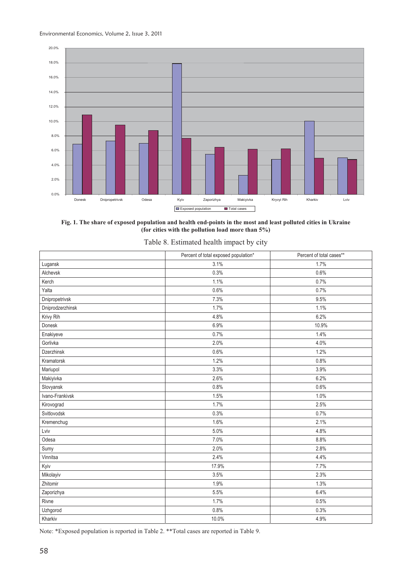

**Fig. 1. The share of exposed population and health end-points in the most and least polluted cities in Ukraine (for cities with the pollution load more than 5%)** 

|  | Table 8. Estimated health impact by city |  |  |
|--|------------------------------------------|--|--|
|  |                                          |  |  |
|  |                                          |  |  |

|                   | Percent of total exposed population* | Percent of total cases** |
|-------------------|--------------------------------------|--------------------------|
| Lugansk           | 3.1%                                 | 1.7%                     |
| Alchevsk          | 0.3%                                 | 0.6%                     |
| Kerch             | 1.1%                                 | 0.7%                     |
| Yalta             | 0.6%                                 | 0.7%                     |
| Dnipropetrivsk    | 7.3%                                 | 9.5%                     |
| Dniprodzerzhinsk  | 1.7%                                 | 1.1%                     |
| Krivy Rih         | 4.8%                                 | 6.2%                     |
| Donesk            | 6.9%                                 | 10.9%                    |
| Enakiyeve         | 0.7%                                 | 1.4%                     |
| Gorlivka          | 2.0%                                 | 4.0%                     |
| <b>Dzerzhinsk</b> | 0.6%                                 | 1.2%                     |
| Kramatorsk        | 1.2%                                 | 0.8%                     |
| Mariupol          | 3.3%                                 | 3.9%                     |
| Makiyivka         | 2.6%                                 | 6.2%                     |
| Slovyansk         | 0.8%                                 | 0.6%                     |
| Ivano-Frankivsk   | 1.5%                                 | 1.0%                     |
| Kirovograd        | 1.7%                                 | 2.5%                     |
| Svitlovodsk       | 0.3%                                 | 0.7%                     |
| Kremenchug        | 1.6%                                 | 2.1%                     |
| Lviv              | 5.0%                                 | 4.8%                     |
| Odesa             | 7.0%                                 | 8.8%                     |
| Sumy              | 2.0%                                 | 2.8%                     |
| Vinnitsa          | 2.4%                                 | 4.4%                     |
| Kyiv              | 17.9%                                | 7.7%                     |
| Mikolayiv         | 3.5%                                 | 2.3%                     |
| Zhitomir          | 1.9%                                 | 1.3%                     |
| Zaporizhya        | 5.5%                                 | 6.4%                     |
| Rivne             | 1.7%                                 | 0.5%                     |
| Uzhgorod          | 0.8%                                 | 0.3%                     |
| Kharkiv           | 10.0%                                | 4.9%                     |

Note: \*Exposed population is reported in Table 2. \*\*Total cases are reported in Table 9.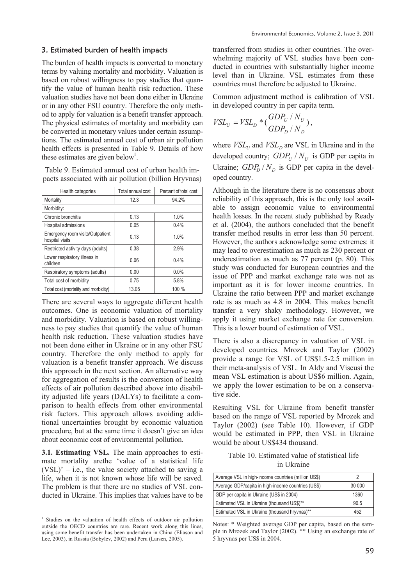### 3. Estimated burden of health impacts

The burden of health impacts is converted to monetary terms by valuing mortality and morbidity. Valuation is based on robust willingness to pay studies that quantify the value of human health risk reduction. These valuation studies have not been done either in Ukraine or in any other FSU country. Therefore the only method to apply for valuation is a benefit transfer approach. The physical estimates of mortality and morbidity can be converted in monetary values under certain assumptions. The estimated annual cost of urban air pollution health effects is presented in Table 9. Details of how these estimates are given below<sup>1</sup>.

Table 9. Estimated annual cost of urban health impacts associated with air pollution (billion Hryvnas)

| Health categories                                   | Total annual cost | Percent of total cost |
|-----------------------------------------------------|-------------------|-----------------------|
| Mortality                                           | 12.3              | 94.2%                 |
| Morbidity:                                          |                   |                       |
| Chronic bronchitis                                  | 0.13              | 1.0%                  |
| Hospital admissions                                 | 0.05              | 0.4%                  |
| Emergency room visits/Outpatient<br>hospital visits | 0.13              | 1.0%                  |
| Restricted activity days (adults)                   | 0.38              | 2.9%                  |
| Lower respiratory illness in<br>children            | 0.06              | 0.4%                  |
| Respiratory symptoms (adults)                       | 0.00              | $0.0\%$               |
| Total cost of morbidity                             | 0.75              | 5.8%                  |
| Total cost (mortality and morbidity)                | 13.05             | 100 %                 |

There are several ways to aggregate different health outcomes. One is economic valuation of mortality and morbidity. Valuation is based on robust willingness to pay studies that quantify the value of human health risk reduction. These valuation studies have not been done either in Ukraine or in any other FSU country. Therefore the only method to apply for valuation is a benefit transfer approach. We discuss this approach in the next section. An alternative way for aggregation of results is the conversion of health effects of air pollution described above into disability adjusted life years (DALYs) to facilitate a comparison to health effects from other environmental risk factors. This approach allows avoiding additional uncertainties brought by economic valuation procedure, but at the same time it doesn't give an idea about economic cost of environmental pollution.

**3.1. Estimating VSL.** The main approaches to estimate mortality arethe 'value of a statistical life  $(VSL)'$  – i.e., the value society attached to saving a life, when it is not known whose life will be saved. The problem is that there are no studies of VSL conducted in Ukraine. This implies that values have to be

 $\overline{\phantom{a}}$ 

transferred from studies in other countries. The overwhelming majority of VSL studies have been conducted in countries with substantially higher income level than in Ukraine. VSL estimates from these countries must therefore be adjusted to Ukraine.

Common adjustment method is calibration of VSL in developed country in per capita term.

$$
VSL_U = VSL_D * (\frac{GDP_U / N_U}{GDP_D / N_D}),
$$

where  $VSL_U$  and  $VSL_D$  are VSL in Ukraine and in the developed country;  $GDP_U / N_U$  is GDP per capita in Ukraine;  $GDP<sub>D</sub> / N<sub>D</sub>$  is GDP per capita in the developed country.

Although in the literature there is no consensus about reliability of this approach, this is the only tool available to assign economic value to environmental health losses. In the recent study published by Ready et al. (2004), the authors concluded that the benefit transfer method results in error less than 50 percent. However, the authors acknowledge some extremes: it may lead to overestimation as much as 230 percent or underestimation as much as 77 percent (p. 80). This study was conducted for European countries and the issue of PPP and market exchange rate was not as important as it is for lower income countries. In Ukraine the ratio between PPP and market exchange rate is as much as 4.8 in 2004. This makes benefit transfer a very shaky methodology. However, we apply it using market exchange rate for conversion. This is a lower bound of estimation of VSL.

There is also a discrepancy in valuation of VSL in developed countries. Mrozek and Taylor (2002) provide a range for VSL of US\$1.5-2.5 million in their meta-analysis of VSL. In Aldy and Viscusi the mean VSL estimation is about US\$6 million. Again, we apply the lower estimation to be on a conservative side.

Resulting VSL for Ukraine from benefit transfer based on the range of VSL reported by Mrozek and Taylor (2002) (see Table 10). However, if GDP would be estimated in PPP, then VSL in Ukraine would be about US\$434 thousand.

### Table 10. Estimated value of statistical life in Ukraine

| Average VSL in high-income countries (million US\$) |        |
|-----------------------------------------------------|--------|
| Average GDP/capita in high-income countries (US\$)  | 30 000 |
| GDP per capita in Ukraine (US\$ in 2004)            | 1360   |
| Estimated VSL in Ukraine (thousand US\$)**          | 90.5   |
| Estimated VSL in Ukraine (thousand hryvnas)**       | 452    |

Notes: \* Weighted average GDP per capita, based on the sample in Mrozek and Taylor (2002). \*\* Using an exchange rate of 5 hryvnas per US\$ in 2004.

<sup>1</sup> Studies on the valuation of health effects of outdoor air pollution outside the OECD countries are rare. Recent work along this lines, using some benefit transfer has been undertaken in China (Eliason and Lee, 2003), in Russia (Bobylev, 2002) and Peru (Larsen, 2005).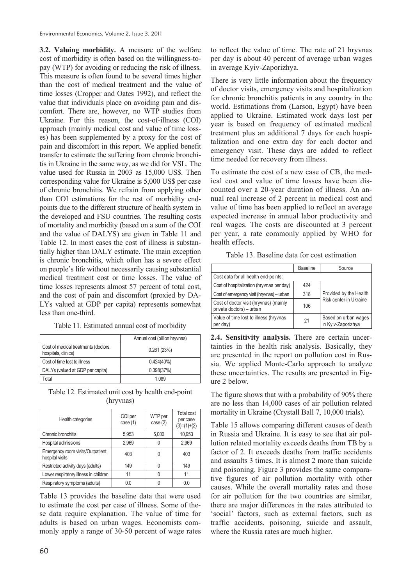**3.2. Valuing morbidity.** A measure of the welfare cost of morbidity is often based on the willingness-topay (WTP) for avoiding or reducing the risk of illness. This measure is often found to be several times higher than the cost of medical treatment and the value of time losses (Cropper and Oates 1992), and reflect the value that individuals place on avoiding pain and discomfort. There are, however, no WTP studies from Ukraine. For this reason, the cost-of-illness (COI) approach (mainly medical cost and value of time losses) has been supplemented by a proxy for the cost of pain and discomfort in this report. We applied benefit transfer to estimate the suffering from chronic bronchitis in Ukraine in the same way, as we did for VSL. The value used for Russia in 2003 as 15,000 US\$. Then corresponding value for Ukraine is 5,000 US\$ per case of chronic bronchitis. We refrain from applying other than COI estimations for the rest of morbidity endpoints due to the different structure of health system in the developed and FSU countries. The resulting costs of mortality and morbidity (based on a sum of the COI and the value of DALYS) are given in Table 11 and Table 12. In most cases the cost of illness is substantially higher than DALY estimate. The main exception is chronic bronchitis, which often has a severe effect on people's life without necessarily causing substantial medical treatment cost or time losses. The value of time losses represents almost 57 percent of total cost, and the cost of pain and discomfort (proxied by DA-LYs valued at GDP per capita) represents somewhat less than one-third.

|                                                             | Annual cost (billion hryvnas) |
|-------------------------------------------------------------|-------------------------------|
| Cost of medical treatments (doctors,<br>hospitals, clinics) | 0.261(23%)                    |
| Cost of time lost to illness                                | $0.424(40\%)$                 |
| DALYs (valued at GDP per capita)                            | 0.398(37%)                    |
| Total                                                       | 1.089                         |

Table 11. Estimated annual cost of morbidity

Table 12. Estimated unit cost by health end-point (hryvnas)

| Health categories                                   | COI per<br>case $(1)$ | WTP per<br>case $(2)$ | Total cost<br>per case<br>(3)=(1)+(2) |
|-----------------------------------------------------|-----------------------|-----------------------|---------------------------------------|
| Chronic bronchitis                                  | 5,953                 | 5,000                 | 10,953                                |
| Hospital admissions                                 | 2.969                 |                       | 2,969                                 |
| Emergency room visits/Outpatient<br>hospital visits | 403                   |                       | 403                                   |
| Restricted activity days (adults)                   | 149                   |                       | 149                                   |
| Lower respiratory illness in children               | 11                    |                       | 11                                    |
| Respiratory symptoms (adults)                       | 0.0                   |                       | 0.0                                   |

Table 13 provides the baseline data that were used to estimate the cost per case of illness. Some of these data require explanation. The value of time for adults is based on urban wages. Economists commonly apply a range of 30-50 percent of wage rates to reflect the value of time. The rate of 21 hryvnas per day is about 40 percent of average urban wages in average Kyiv-Zaporizhya.

There is very little information about the frequency of doctor visits, emergency visits and hospitalization for chronic bronchitis patients in any country in the world. Estimations from (Larson, Egypt) have been applied to Ukraine. Estimated work days lost per year is based on frequency of estimated medical treatment plus an additional 7 days for each hospitalization and one extra day for each doctor and emergency visit. These days are added to reflect time needed for recovery from illness.

To estimate the cost of a new case of CB, the medical cost and value of time losses have been discounted over a 20-year duration of illness. An annual real increase of 2 percent in medical cost and value of time has been applied to reflect an average expected increase in annual labor productivity and real wages. The costs are discounted at 3 percent per year, a rate commonly applied by WHO for health effects.

|  |  |  |  |  | Table 13. Baseline data for cost estimation |
|--|--|--|--|--|---------------------------------------------|
|--|--|--|--|--|---------------------------------------------|

|                                                                    | <b>Baseline</b> | Source                                     |  |
|--------------------------------------------------------------------|-----------------|--------------------------------------------|--|
| Cost data for all health end-points:                               |                 |                                            |  |
| Cost of hospitalization (hryvnas per day)                          | 424             |                                            |  |
| Cost of emergency visit (hryvnas) - urban                          | 318             | Provided by the Health                     |  |
| Cost of doctor visit (hryvnas) (mainly<br>private doctors) - urban | 106             | Risk center in Ukraine                     |  |
| Value of time lost to illness (hryvnas<br>per day)                 | 21              | Based on urban wages<br>in Kyiv-Zaporizhya |  |

**2.4. Sensitivity analysis.** There are certain uncertainties in the health risk analysis. Basically, they are presented in the report on pollution cost in Russia. We applied Monte-Carlo approach to analyze these uncertainties. The results are presented in Figure 2 below.

The figure shows that with a probability of 90% there are no less than 14,000 cases of air pollution related mortality in Ukraine (Crystall Ball 7, 10,000 trials).

Table 15 allows comparing different causes of death in Russia and Ukraine. It is easy to see that air pollution related mortality exceeds deaths from TB by a factor of 2. It exceeds deaths from traffic accidents and assaults 3 times. It is almost 2 more than suicide and poisoning. Figure 3 provides the same comparative figures of air pollution mortality with other causes. While the overall mortality rates and those for air pollution for the two countries are similar, there are major differences in the rates attributed to 'social' factors, such as external factors, such as traffic accidents, poisoning, suicide and assault, where the Russia rates are much higher.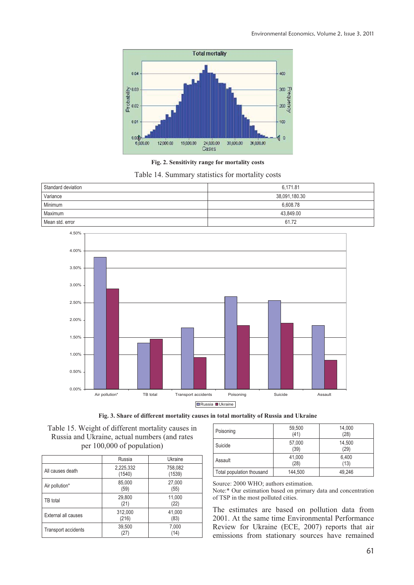

**Fig. 2. Sensitivity range for mortality costs** 

Table 14. Summary statistics for mortality costs

| Standard deviation | 6.171.81      |
|--------------------|---------------|
| Variance           | 38,091,180.30 |
| Minimum            | 6.608.78      |
| Maximum            | 43,849.00     |
| Mean std. error    | 61.72         |







|                            | Russia              | Ukraine           |
|----------------------------|---------------------|-------------------|
| All causes death           | 2,225,332<br>(1540) | 758,082<br>(1539) |
| Air pollution*             | 85,000<br>(59)      | 27,000<br>(55)    |
| TB total                   | 29,800<br>(21)      | 11,000<br>(22)    |
| External all causes        | 312,000<br>(216)    | 41,000<br>(83)    |
| <b>Transport accidents</b> | 39,500<br>(27)      | 7,000<br>(14)     |

| Poisoning                 | 59,500<br>(41) | 14,000<br>(28) |
|---------------------------|----------------|----------------|
| Suicide                   | 57,000<br>(39) | 14,500<br>(29) |
| Assault                   | 41,000<br>(28) | 6,400<br>(13)  |
| Total population thousand | 144,500        | 49.246         |

Source: 2000 WHO; authors estimation.

Note:\* Our estimation based on primary data and concentration of TSP in the most polluted cities.

The estimates are based on pollution data from 2001. At the same time Environmental Performance Review for Ukraine (ECE, 2007) reports that air emissions from stationary sources have remained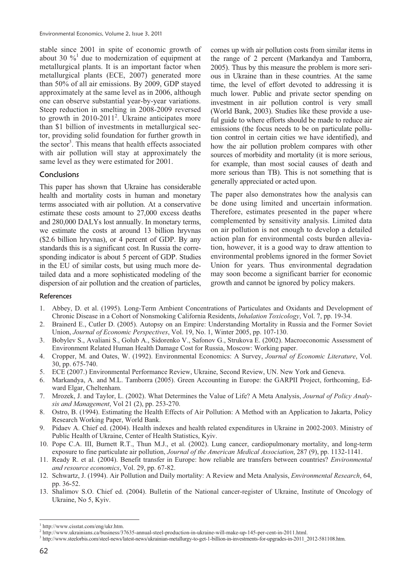stable since 2001 in spite of economic growth of about 30  $\frac{9}{4}$  due to modernization of equipment at metallurgical plants. It is an important factor when metallurgical plants (ECE, 2007) generated more than 50% of all air emissions. By 2009, GDP stayed approximately at the same level as in 2006, although one can observe substantial year-by-year variations. Steep reduction in smelting in 2008-2009 reversed to growth in  $2010-2011^2$ . Ukraine anticipates more than \$1 billion of investments in metallurgical sector, providing solid foundation for further growth in the sector<sup>3</sup>. This means that health effects associated with air pollution will stay at approximately the same level as they were estimated for 2001.

# **Conclusions**

This paper has shown that Ukraine has considerable health and mortality costs in human and monetary terms associated with air pollution. At a conservative estimate these costs amount to 27,000 excess deaths and 280,000 DALYs lost annually. In monetary terms, we estimate the costs at around 13 billion hryvnas (\$2.6 billion hryvnas), or 4 percent of GDP. By any standards this is a significant cost. In Russia the corresponding indicator is about 5 percent of GDP. Studies in the EU of similar costs, but using much more detailed data and a more sophisticated modeling of the dispersion of air pollution and the creation of particles,

comes up with air pollution costs from similar items in the range of 2 percent (Markandya and Tamborra, 2005). Thus by this measure the problem is more serious in Ukraine than in these countries. At the same time, the level of effort devoted to addressing it is much lower. Public and private sector spending on investment in air pollution control is very small (World Bank, 2003). Studies like these provide a useful guide to where efforts should be made to reduce air emissions (the focus needs to be on particulate pollution control in certain cities we have identified), and how the air pollution problem compares with other sources of morbidity and mortality (it is more serious, for example, than most social causes of death and more serious than TB). This is not something that is generally appreciated or acted upon.

The paper also demonstrates how the analysis can be done using limited and uncertain information. Therefore, estimates presented in the paper where complemented by sensitivity analysis. Limited data on air pollution is not enough to develop a detailed action plan for environmental costs burden alleviation, however, it is a good way to draw attention to environmental problems ignored in the former Soviet Union for years. Thus environmental degradation may soon become a significant barrier for economic growth and cannot be ignored by policy makers.

#### **References**

- 1. Abbey, D. et al. (1995). Long-Term Ambient Concentrations of Particulates and Oxidants and Development of Chronic Disease in a Cohort of Nonsmoking California Residents, *Inhalation Toxicology*, Vol. 7, pp. 19-34.
- 2. Brainerd E., Cutler D. (2005). Autopsy on an Empire: Understanding Mortality in Russia and the Former Soviet Union, *Journal of Economic Perspectives*, Vol. 19, No. 1, Winter 2005, pp. 107-130.
- 3. Bobylev S., Avaliani S., Golub A., Sidorenko V., Safonov G., Strukova E. (2002). Macroeconomic Assessment of Environment Related Human Health Damage Cost for Russia, Moscow: Working paper.
- 4. Cropper, M. and Oates, W. (1992). Environmental Economics: A Survey, *Journal of Economic Literature*, Vol. 30, pp. 675-740.
- 5. ECE (2007.) Environmental Performance Review, Ukraine, Second Review, UN. New York and Geneva.
- 6. Markandya, A. and M.L. Tamborra (2005). Green Accounting in Europe: the GARPII Project, forthcoming, Edward Elgar, Cheltenham.
- 7. Mrozek, J. and Taylor, L. (2002). What Determines the Value of Life? A Meta Analysis, *Journal of Policy Analysis and Management*, Vol 21 (2), pp. 253-270.
- 8. Ostro, B. (1994). Estimating the Health Effects of Air Pollution: A Method with an Application to Jakarta, Policy Research Working Paper, World Bank.
- 9. Pidaev A. Chief ed. (2004). Health indexes and health related expenditures in Ukraine in 2002-2003. Ministry of Public Health of Ukraine, Center of Health Statistics, Kyiv.
- 10. Pope C.A. III, Burnett R.T., Thun M.J., et al. (2002). Lung cancer, cardiopulmonary mortality, and long-term exposure to fine particulate air pollution, *Journal of the American Medical Association*, 287 (9), pp. 1132-1141.
- 11. Ready R. et al. (2004). Benefit transfer in Europe: how reliable are transfers between countries? *Environmental and resource economics*, Vol. 29, pp. 67-82.
- 12. Schwartz, J. (1994). Air Pollution and Daily mortality: A Review and Meta Analysis, *Environmental Research*, 64, pp. 36-52.
- 13. Shalimov S.O. Chief ed. (2004). Bulletin of the National cancer-register of Ukraine, Institute of Oncology of Ukraine, No 5, Kyiv.

1

<sup>1</sup> http://www.cisstat.com/eng/ukr.htm.

<sup>2</sup> http://www.ukrainians.ca/business/37635-annual-steel-production-in-ukraine-will-make-up-145-per-cent-in-2011.html.

<sup>3</sup> http://www.steelorbis.com/steel-news/latest-news/ukrainian-metallurgy-to-get-1-billion-in-investments-for-upgrades-in-2011\_2012-581108.htm.